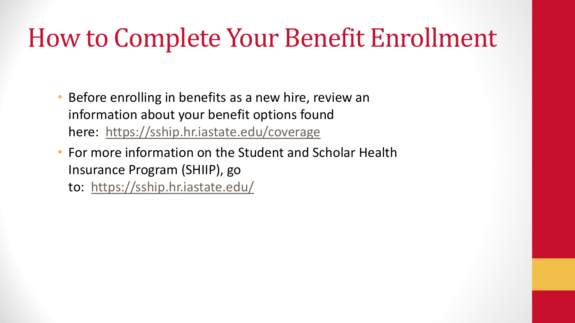- Before enrolling in benefits as a new hire, review an information about your benefit options found here: <https://sship.hr.iastate.edu/coverage>
- For more information on the Student and Scholar Health Insurance Program (SHIIP), go to: <https://sship.hr.iastate.edu/>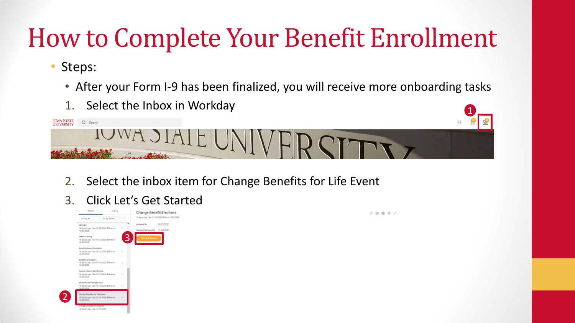- Steps:
	- After your Form I-9 has been finalized, you will receive more onboarding tasks
	- 1. Select the Inbox in Workday



- 2. Select the inbox item for Change Benefits for Life Event
- 3. Click Let's Get Started

| <b>Arabina</b><br>Activit                                                             | Change Benefit Elections                                      | ☆ 目 目 ◎ ♪ |
|---------------------------------------------------------------------------------------|---------------------------------------------------------------|-----------|
| a look book and will<br><b>Steving At</b>                                             | 19 designs - But 11/10/2021 DRealist 10/05/2021               |           |
| mu cast<br>16 devial age - Day 19/08/2020; D'Notive<br>o an<br>10/03/2020             | 10/22/2020<br>Initiated On<br>Sabrett Elections By 11/04/2020 |           |
| 3<br>FERRICT catalog<br>19 daylel age - Bue 19 10/2022): Phkotke<br>10.09/2020        | <b>Let's Get Barted</b>                                       |           |
| New Employee (trientation)<br>18 Beddings - Bue 19/12/2023; BReche<br>10/03/2020      |                                                               |           |
| Belefit Greitzkon<br>10/03/2020                                                       |                                                               |           |
| Waterson Streets (Sweethermins)<br>16/05/2020                                         |                                                               |           |
| pushin avF-sterafication<br>10/03/2020                                                |                                                               |           |
| Shange Benefits For Life Event<br>18 days ago., Sax 11/18/2000. IPhone:<br>16/85/5028 |                                                               |           |
| savele receited charges.<br>CC.<br>18 devisi age - Dae 19/19/2023                     |                                                               |           |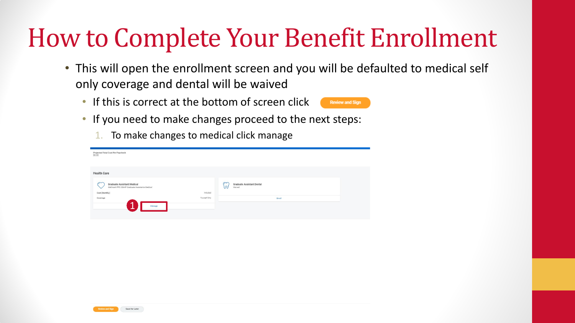- This will open the enrollment screen and you will be defaulted to medical self only coverage and dental will be waived
	- If this is correct at the bottom of screen click



- If you need to make changes proceed to the next steps:
	- 1. To make changes to medical click manage

| Projected Total Cost Per Paycheck<br>\$0.00                                                                                               |                                                                                     |        |
|-------------------------------------------------------------------------------------------------------------------------------------------|-------------------------------------------------------------------------------------|--------|
| <b>Health Care</b>                                                                                                                        |                                                                                     |        |
| $\sqrt{2}$<br><b>Graduate Assistant Medical</b><br>Wellmark PPO SSHIP Graduate Assistants Medical<br>Cost (Monthly)<br>Coverage<br>Manage | $\omega$<br><b>Graduate Assistant Dental</b><br>Waived<br>Included<br>Yourself Only | Enroll |
|                                                                                                                                           |                                                                                     |        |
|                                                                                                                                           |                                                                                     |        |
|                                                                                                                                           |                                                                                     |        |
| <b>Review and Sign</b><br>Save for Later                                                                                                  |                                                                                     |        |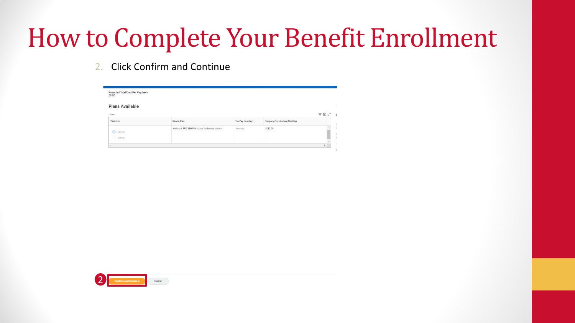2. Click Confirm and Continue

| Projected Total Cost Per Paycheck<br>\$0.00 |                                                |                   |                                |                                                                           |
|---------------------------------------------|------------------------------------------------|-------------------|--------------------------------|---------------------------------------------------------------------------|
| <b>Plans Available</b>                      |                                                |                   |                                |                                                                           |
| 1 item                                      |                                                |                   |                                | $\overline{\overline{\overline{z}}}\ \overline{\boxplus}\ \overline{u}^T$ |
| *Selection                                  | Benefit Plan                                   | You Pay (Monthly) | Company Contribution (Monthly) |                                                                           |
|                                             |                                                |                   |                                |                                                                           |
| <b>O</b> Select<br>◯ Waive                  | Wellmark PPO SSHIP Graduate Assistants Medical | Included          | \$212.00                       |                                                                           |

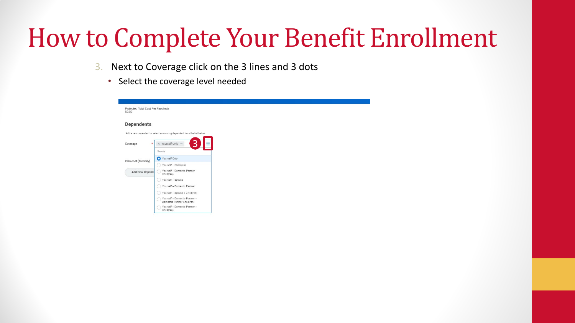- 3. Next to Coverage click on the 3 lines and 3 dots
	- Select the coverage level needed

| Projected Total Cost Per Paycheck<br>\$0.00 |                                                                          |  |  |
|---------------------------------------------|--------------------------------------------------------------------------|--|--|
| <b>Dependents</b>                           |                                                                          |  |  |
|                                             | Add a new dependent or select an existing dependent from the list below. |  |  |
| $\star$<br>Coverage                         | X Yourself Only<br>S.                                                    |  |  |
|                                             | Search                                                                   |  |  |
| Plan cost (Monthly)                         | Yourself Only                                                            |  |  |
|                                             | Yourself + Child(ren)                                                    |  |  |
| Add New Depende                             | Yourself + Domestic Partner<br>Child(ren)                                |  |  |
|                                             | Yourself + Spouse                                                        |  |  |
|                                             | Yourself + Domestic Partner                                              |  |  |
|                                             | Yourself + Spouse + Child(ren)                                           |  |  |
|                                             | Yourself + Domestic Partner +<br>C<br>Domestic Partner Child(ren)        |  |  |
|                                             | Yourself + Domestic Partner +<br>Child(ren)                              |  |  |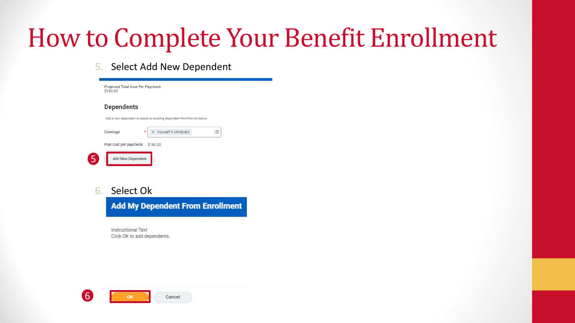#### 5. Select Add New Dependent

| <b>Dependents</b><br>Add a new dependent or select an existing dependent from the list below.<br>Yourself + Child(ren)<br>Coverage<br>*<br>$=$ | Plan cost per paycheck<br>\$160.00<br>(5<br>Add New Dependent |
|------------------------------------------------------------------------------------------------------------------------------------------------|---------------------------------------------------------------|
|                                                                                                                                                |                                                               |
|                                                                                                                                                |                                                               |
|                                                                                                                                                |                                                               |
|                                                                                                                                                |                                                               |
| Projected Total Cost Per Paycheck                                                                                                              | \$160.00                                                      |

Instructional Text Click OK to add dependents.

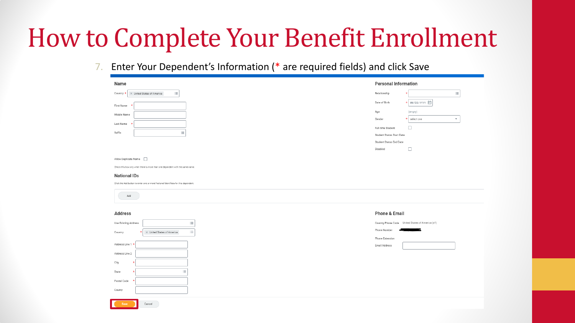7. Enter Your Dependent's Information (\* are required fields) and click Save

| Name                                                                                                      | <b>Personal Information</b>                          |                                                  |
|-----------------------------------------------------------------------------------------------------------|------------------------------------------------------|--------------------------------------------------|
| $\equiv$<br>$\times$ United States of America<br>Country                                                  | Relationship                                         | $\equiv$                                         |
| First Name                                                                                                | Date of Birth                                        | ★ MM/DD/YYYY                                     |
| Middle Name                                                                                               | Age                                                  | (empty)                                          |
| Last Name                                                                                                 | Gender                                               | select one<br>$\overline{\mathbf{v}}$<br>$\star$ |
| 洼<br>Suffix                                                                                               | Full-time Student                                    | □                                                |
|                                                                                                           | Student Status Start Date<br>Student Status End Date |                                                  |
|                                                                                                           | Disabled                                             | $\Box$                                           |
|                                                                                                           |                                                      |                                                  |
| Allow Duplicate Name<br>Check this box only when there is more than one dependent with the same name.     |                                                      |                                                  |
|                                                                                                           |                                                      |                                                  |
| <b>National IDs</b><br>Click the Add button to enter one or more National Identifiers for this dependent. |                                                      |                                                  |
|                                                                                                           |                                                      |                                                  |
| Add                                                                                                       |                                                      |                                                  |
| <b>Address</b>                                                                                            | Phone & Email                                        |                                                  |
| Use Existing Address                                                                                      |                                                      | Country Phone Code United States of America (+1) |
| 三                                                                                                         | Phone Number                                         | е                                                |
| 三<br>X United States of America<br>Country                                                                | Phone Extension                                      |                                                  |
| Address Line 1 *                                                                                          | Email Address                                        |                                                  |
| Address Line 2                                                                                            |                                                      |                                                  |
| City                                                                                                      |                                                      |                                                  |
| Е<br>State                                                                                                |                                                      |                                                  |
| Postal Code                                                                                               |                                                      |                                                  |
|                                                                                                           |                                                      |                                                  |
| County                                                                                                    |                                                      |                                                  |
| Save<br>Cancel                                                                                            |                                                      |                                                  |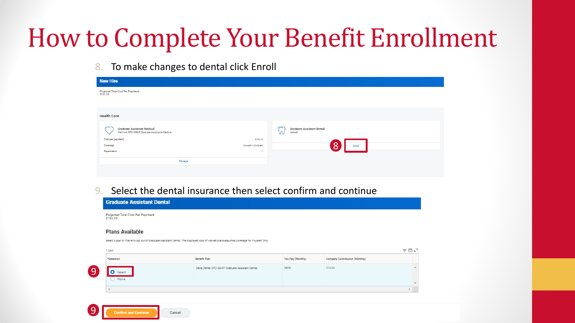8. To make changes to dental click Enroll

| <b>New Hire</b>                                                                     |                                                      |
|-------------------------------------------------------------------------------------|------------------------------------------------------|
| Projected Total Cost Per Paycheck<br>\$160.00                                       |                                                      |
|                                                                                     |                                                      |
| <b>Health Care</b>                                                                  |                                                      |
| <b>Graduate Assistant Medical</b><br>Wellmark PPO SSHIP Graduate Assistants Medical | œ<br><b>Graduate Assistant Dental</b><br>w<br>Waived |
| Cost per paycheck                                                                   | \$160.00                                             |
| Coverage                                                                            | Enroll<br>Yourself + Child(ren)                      |
| Dependents                                                                          | ×.                                                   |
| Manage                                                                              |                                                      |
|                                                                                     |                                                      |

#### 9. Select the dental insurance then select confirm and continue

| Projected Total Cost Per Paycheck<br>\$160.00 |                                                                                                                                        |                   |                                |     |
|-----------------------------------------------|----------------------------------------------------------------------------------------------------------------------------------------|-------------------|--------------------------------|-----|
| <b>Plans Available</b>                        |                                                                                                                                        |                   |                                |     |
| 1 item                                        | Select a plan or Waive to opt out of Graduate Assistant Dental. The displayed cost of waived plans assumes coverage for Yourself Only. |                   |                                | 三団い |
|                                               | Benefit Plan                                                                                                                           | You Pay (Monthly) | Company Contribution (Monthly) |     |
| *Selection                                    |                                                                                                                                        |                   |                                |     |
| O Select<br>() Waive                          | Delta Dental DPO SSHIP Graduate Assistant Dental                                                                                       | \$8.50            | \$13.00                        |     |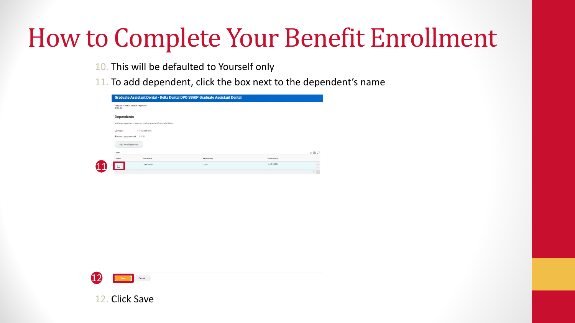- 10. This will be defaulted to Yourself only
- 11. To add dependent, click the box next to the dependent's name

| Projected Total Cost Per Paycheck<br>\$168.50 |                                                                          |              |               |                                                  |
|-----------------------------------------------|--------------------------------------------------------------------------|--------------|---------------|--------------------------------------------------|
| Dependents                                    |                                                                          |              |               |                                                  |
|                                               | Add a new dependent or select an existing dependent from the list below. |              |               |                                                  |
|                                               | * Yourself Only                                                          |              |               |                                                  |
| Coverage                                      |                                                                          |              |               |                                                  |
| Plan cost per paycheck \$8.50                 |                                                                          |              |               |                                                  |
|                                               |                                                                          |              |               |                                                  |
| Add New Dependent                             |                                                                          |              |               |                                                  |
| 1 item                                        |                                                                          |              |               |                                                  |
| Select                                        | Dependent                                                                | Relationship | Date of Rirth | $\overline{\tau} \ \overline{\boxplus}\ \iota^*$ |
|                                               | Sam Smith                                                                | Child        | 01/01/2021    |                                                  |
| $\left  \right $                              |                                                                          |              |               |                                                  |



**Click Save**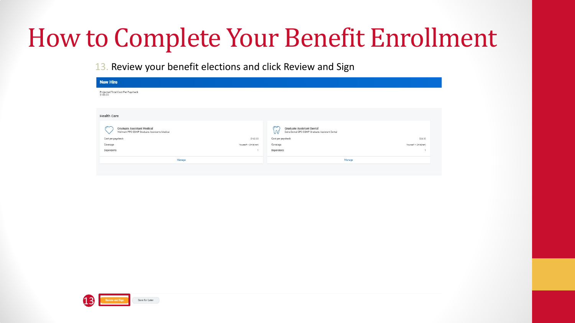13. Review your benefit elections and click Review and Sign

| <b>New Hire</b>                                                                          |                       |                                                                                                       |                       |
|------------------------------------------------------------------------------------------|-----------------------|-------------------------------------------------------------------------------------------------------|-----------------------|
| Projected Total Cost Per Paycheck<br>\$188.00                                            |                       |                                                                                                       |                       |
|                                                                                          |                       |                                                                                                       |                       |
|                                                                                          |                       |                                                                                                       |                       |
| <b>Health Care</b>                                                                       |                       |                                                                                                       |                       |
| C<br><b>Graduate Assistant Medical</b><br>Wellmark PPO SSHIP Graduate Assistants Medical |                       | $\infty$<br><b>Graduate Assistant Dental</b><br>W<br>Delta Dental DPO SSHIP Graduate Assistant Dental |                       |
| Cost per paycheck                                                                        | \$160.00              | Cost per paycheck                                                                                     | \$28.00               |
| Coverage                                                                                 | Yourself + Child(ren) | Coverage                                                                                              | Yourself + Child(ren) |
| Dependents                                                                               | 1                     | Dependents                                                                                            | 11                    |
| Manage                                                                                   |                       | Manage                                                                                                |                       |
|                                                                                          |                       |                                                                                                       |                       |
|                                                                                          |                       |                                                                                                       |                       |
|                                                                                          |                       |                                                                                                       |                       |
|                                                                                          |                       |                                                                                                       |                       |
|                                                                                          |                       |                                                                                                       |                       |
|                                                                                          |                       |                                                                                                       |                       |
|                                                                                          |                       |                                                                                                       |                       |
|                                                                                          |                       |                                                                                                       |                       |
|                                                                                          |                       |                                                                                                       |                       |
|                                                                                          |                       |                                                                                                       |                       |
|                                                                                          |                       |                                                                                                       |                       |
|                                                                                          |                       |                                                                                                       |                       |
|                                                                                          |                       |                                                                                                       |                       |
|                                                                                          |                       |                                                                                                       |                       |
|                                                                                          |                       |                                                                                                       |                       |
|                                                                                          |                       |                                                                                                       |                       |
|                                                                                          |                       |                                                                                                       |                       |
|                                                                                          |                       |                                                                                                       |                       |
|                                                                                          |                       |                                                                                                       |                       |
|                                                                                          |                       |                                                                                                       |                       |

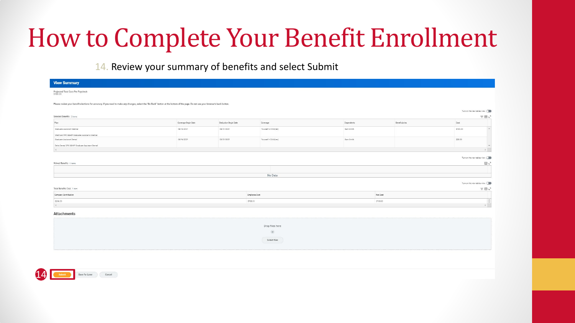14. Review your summary of benefits and select Submit

14

| <b>View Summary</b>                                                                                                                                                               |                     |                      |                       |            |               |                                        |                                             |
|-----------------------------------------------------------------------------------------------------------------------------------------------------------------------------------|---------------------|----------------------|-----------------------|------------|---------------|----------------------------------------|---------------------------------------------|
| Projected Total Cost Per Paycheck<br>\$188.00                                                                                                                                     |                     |                      |                       |            |               |                                        |                                             |
| Please review your benefit elections for accuracy. If you need to make any changes, select the "Go Back" button at the bottom of the page. Do not use your browser's back button. |                     |                      |                       |            |               |                                        |                                             |
|                                                                                                                                                                                   |                     |                      |                       |            |               | Turn on the new tables view $\bigcirc$ |                                             |
| Selected Benefits 2 items                                                                                                                                                         |                     |                      |                       |            |               |                                        | $\equiv \boxplus \lrcorner$                 |
| Plan                                                                                                                                                                              | Coverage Begin Date | Deduction Begin Date | Coverage              | Dependents | Beneficiaries | Cost                                   |                                             |
| Graduate Assistant Medical                                                                                                                                                        | 08/16/2021          | 08/01/2021           | Yourself + Child(ren) | Sam Smith  |               | \$160.00                               | $\Delta$                                    |
| Wellmark PPO SSHIP Graduate Assistants Medical                                                                                                                                    |                     |                      |                       |            |               |                                        |                                             |
| Graduate Assistant Dental                                                                                                                                                         | 08/16/2021          | 08/01/2021           | Yourself + Child(ren) | Sam Smith  |               | \$28.00                                |                                             |
| Delta Dental DPO SSHIP Graduate Assistant Dental                                                                                                                                  |                     |                      |                       |            |               |                                        | <b>Control</b>                              |
| 4.                                                                                                                                                                                |                     |                      |                       |            |               |                                        | $\mathcal{F}$                               |
|                                                                                                                                                                                   |                     |                      |                       |            |               | Turn on the new tables view $\bigcirc$ |                                             |
| Waived Benefits 0 items                                                                                                                                                           |                     |                      |                       |            |               |                                        | $\Box$ $\Box$                               |
|                                                                                                                                                                                   |                     |                      |                       |            |               |                                        |                                             |
|                                                                                                                                                                                   |                     |                      | No Data               |            |               |                                        |                                             |
|                                                                                                                                                                                   |                     |                      |                       |            |               |                                        |                                             |
|                                                                                                                                                                                   |                     |                      |                       |            |               | Turn on the new tables view (          |                                             |
| Total Benefits Cost 1 item                                                                                                                                                        |                     |                      |                       |            |               |                                        | $\equiv \boxplus \ \textbf{L}^{\mathsf{T}}$ |
| Company Contribution                                                                                                                                                              |                     |                      | Employee Cost         | Net Cost   |               |                                        |                                             |
| \$256.00                                                                                                                                                                          |                     |                      | \$199.00              | \$188.00   |               |                                        | $\Rightarrow$                               |
| $4 -$                                                                                                                                                                             |                     |                      |                       |            |               |                                        | $\mathbb{R}^2$ .                            |
| <b>Attachments</b>                                                                                                                                                                |                     |                      |                       |            |               |                                        |                                             |
|                                                                                                                                                                                   |                     |                      |                       |            |               |                                        |                                             |
|                                                                                                                                                                                   |                     |                      | Drop files here       |            |               |                                        |                                             |
|                                                                                                                                                                                   |                     |                      | $\sigma$              |            |               |                                        |                                             |
|                                                                                                                                                                                   |                     |                      | Select files          |            |               |                                        |                                             |
|                                                                                                                                                                                   |                     |                      |                       |            |               |                                        |                                             |
|                                                                                                                                                                                   |                     |                      |                       |            |               |                                        |                                             |
|                                                                                                                                                                                   |                     |                      |                       |            |               |                                        |                                             |
|                                                                                                                                                                                   |                     |                      |                       |            |               |                                        |                                             |
|                                                                                                                                                                                   |                     |                      |                       |            |               |                                        |                                             |
|                                                                                                                                                                                   |                     |                      |                       |            |               |                                        |                                             |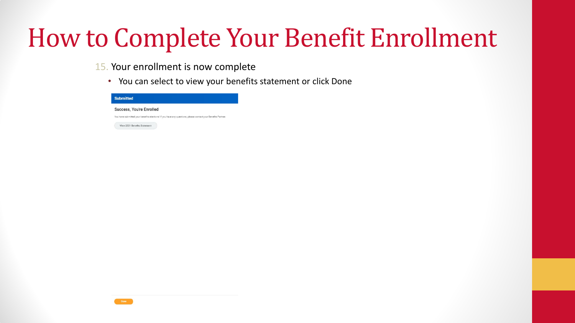- 15. Your enrollment is now complete
	- You can select to view your benefits statement or click Done

| Success, You're Enrolled<br>You have submitted your benefits elections! If you have any questions, please contact your Benefits Partner.<br>View 2021 Benefits Statement |
|--------------------------------------------------------------------------------------------------------------------------------------------------------------------------|
|                                                                                                                                                                          |
|                                                                                                                                                                          |
|                                                                                                                                                                          |
|                                                                                                                                                                          |
|                                                                                                                                                                          |
|                                                                                                                                                                          |
|                                                                                                                                                                          |
|                                                                                                                                                                          |
|                                                                                                                                                                          |
|                                                                                                                                                                          |
|                                                                                                                                                                          |
|                                                                                                                                                                          |
|                                                                                                                                                                          |
|                                                                                                                                                                          |
|                                                                                                                                                                          |
|                                                                                                                                                                          |
|                                                                                                                                                                          |
|                                                                                                                                                                          |
|                                                                                                                                                                          |
|                                                                                                                                                                          |